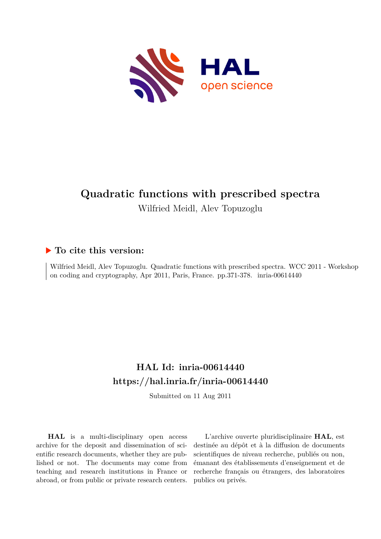

# **Quadratic functions with prescribed spectra**

Wilfried Meidl, Alev Topuzoglu

### **To cite this version:**

Wilfried Meidl, Alev Topuzoglu. Quadratic functions with prescribed spectra. WCC 2011 - Workshop on coding and cryptography, Apr 2011, Paris, France. pp.371-378. inria-00614440

## **HAL Id: inria-00614440 <https://hal.inria.fr/inria-00614440>**

Submitted on 11 Aug 2011

**HAL** is a multi-disciplinary open access archive for the deposit and dissemination of scientific research documents, whether they are published or not. The documents may come from teaching and research institutions in France or abroad, or from public or private research centers.

L'archive ouverte pluridisciplinaire **HAL**, est destinée au dépôt et à la diffusion de documents scientifiques de niveau recherche, publiés ou non, émanant des établissements d'enseignement et de recherche français ou étrangers, des laboratoires publics ou privés.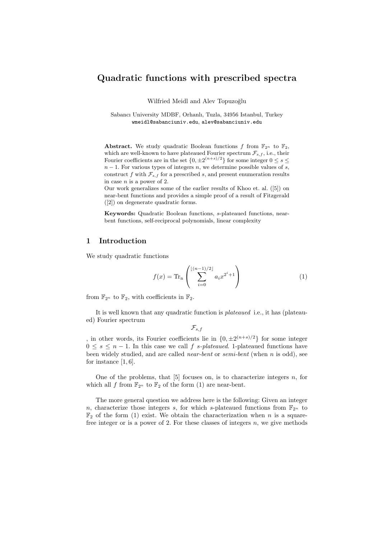#### Quadratic functions with prescribed spectra

Wilfried Meidl and Alev Topuzoğlu

Sabancı University MDBF, Orhanlı, Tuzla, 34956 Istanbul, Turkey wmeidl@sabanciuniv.edu, alev@sabanciuniv.edu

**Abstract.** We study quadratic Boolean functions f from  $\mathbb{F}_{2^n}$  to  $\mathbb{F}_2$ , which are well-known to have plateaued Fourier spectrum  $\mathcal{F}_{s,f}$ , i.e., their Fourier coefficients are in the set  $\{0, \pm 2^{(n+s)/2}\}\)$  for some integer  $0 \le s \le$  $n-1$ . For various types of integers n, we determine possible values of s, construct f with  $\mathcal{F}_{s,f}$  for a prescribed s, and present enumeration results in case  $n$  is a power of 2.

Our work generalizes some of the earlier results of Khoo et. al. ([5]) on near-bent functions and provides a simple proof of a result of Fitzgerald ([2]) on degenerate quadratic forms.

Keywords: Quadratic Boolean functions, s-plateaued functions, nearbent functions, self-reciprocal polynomials, linear complexity

#### 1 Introduction

We study quadratic functions

$$
f(x) = \text{Tr}_{n} \left( \sum_{i=0}^{\lfloor (n-1)/2 \rfloor} a_i x^{2^i + 1} \right)
$$
 (1)

from  $\mathbb{F}_{2^n}$  to  $\mathbb{F}_2$ , with coefficients in  $\mathbb{F}_2$ .

It is well known that any quadratic function is *plateaued* i.e., it has (plateaued) Fourier spectrum

 $\mathcal{F}_{s,f}$ 

, in other words, its Fourier coefficients lie in  $\{0, \pm 2^{(n+s)/2}\}\$  for some integer  $0 \leq s \leq n-1$ . In this case we call f s-plateaued. 1-plateaued functions have been widely studied, and are called *near-bent* or *semi-bent* (when n is odd), see for instance  $[1, 6]$ .

One of the problems, that  $[5]$  focuses on, is to characterize integers n, for which all f from  $\mathbb{F}_{2^n}$  to  $\mathbb{F}_2$  of the form (1) are near-bent.

The more general question we address here is the following: Given an integer n, characterize those integers s, for which s-plateaued functions from  $\mathbb{F}_{2^n}$  to  $\mathbb{F}_2$  of the form (1) exist. We obtain the characterization when n is a squarefree integer or is a power of 2. For these classes of integers  $n$ , we give methods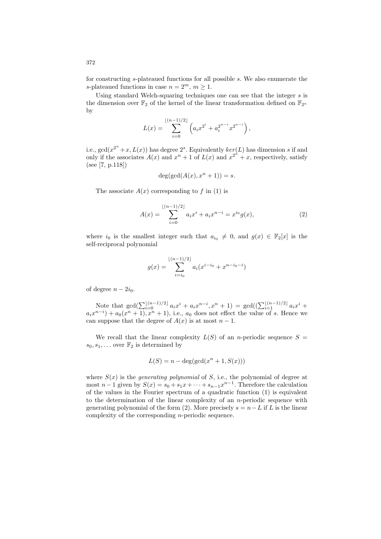for constructing s-plateaued functions for all possible s. We also enumerate the s-plateaued functions in case  $n = 2^m$ ,  $m \ge 1$ .

Using standard Welch-squaring techniques one can see that the integer  $s$  is the dimension over  $\mathbb{F}_2$  of the kernel of the linear transformation defined on  $\mathbb{F}_{2^n}$ by

$$
L(x) = \sum_{i=0}^{\lfloor (n-1)/2 \rfloor} \left( a_i x^{2^i} + a_i^{2^{n-i}} x^{2^{n-i}} \right),
$$

i.e.,  $gcd(x^{2^n}+x, L(x))$  has degree  $2^s$ . Equivalently  $ker(L)$  has dimension s if and only if the associates  $A(x)$  and  $x^n + 1$  of  $L(x)$  and  $x^{2^n} + x$ , respectively, satisfy (see [7, p.118])

$$
\deg(\gcd(A(x), x^n + 1)) = s.
$$

The associate  $A(x)$  corresponding to f in (1) is

$$
A(x) = \sum_{i=0}^{\lfloor (n-1)/2 \rfloor} a_i x^i + a_i x^{n-i} = x^{i_0} g(x),
$$
 (2)

where  $i_0$  is the smallest integer such that  $a_{i_0} \neq 0$ , and  $g(x) \in \mathbb{F}_2[x]$  is the self-reciprocal polynomial

$$
g(x) = \sum_{i=i_0}^{\lfloor (n-1)/2 \rfloor} a_i (x^{i-i_0} + x^{n-i_0-i})
$$

of degree  $n - 2i_0$ .

Note that  $gcd(\sum_{i=0}^{\lfloor (n-1)/2 \rfloor} a_i x^i + a_i x^{n-i}, x^n + 1) = gcd((\sum_{i=1}^{\lfloor (n-1)/2 \rfloor} a_i x^i +$  $a_i x^{n-i}$  +  $a_0(x^n + 1)$ ,  $x^n + 1$ , i.e.,  $a_0$  does not effect the value of s. Hence we can suppose that the degree of  $A(x)$  is at most  $n-1$ .

We recall that the linear complexity  $L(S)$  of an *n*-periodic sequence  $S =$  $s_0, s_1, \ldots$  over  $\mathbb{F}_2$  is determined by

$$
L(S) = n - \deg(\gcd(x^n + 1, S(x)))
$$

where  $S(x)$  is the *generating polynomial* of S, i.e., the polynomial of degree at most  $n-1$  given by  $S(x) = s_0 + s_1x + \cdots + s_{n-1}x^{n-1}$ . Therefore the calculation of the values in the Fourier spectrum of a quadratic function (1) is equivalent to the determination of the linear complexity of an n-periodic sequence with generating polynomial of the form (2). More precisely  $s = n - L$  if L is the linear complexity of the corresponding n-periodic sequence.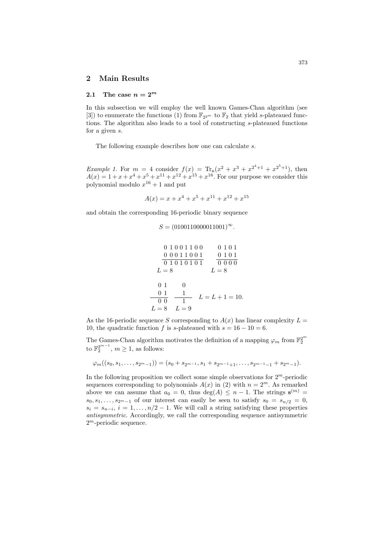#### 2 Main Results

#### 2.1 The case  $n = 2^m$

In this subsection we will employ the well known Games-Chan algorithm (see [3]) to enumerate the functions (1) from  $\mathbb{F}_{2^{2^m}}$  to  $\mathbb{F}_{2}$  that yield s-plateaued functions. The algorithm also leads to a tool of constructing s-plateaued functions for a given s.

The following example describes how one can calculate s.

*Example 1.* For  $m = 4$  consider  $f(x) = Tr_n(x^2 + x^3 + x^{2^4+1} + x^{2^5+1})$ , then  $A(x) = 1 + x + x^4 + x^5 + x^{11} + x^{12} + x^{15} + x^{16}$ . For our purpose we consider this polynomial modulo  $x^{16} + 1$  and put

$$
A(x) = x + x4 + x5 + x11 + x12 + x15
$$

and obtain the corresponding 16-periodic binary sequence

$$
S = (0100110000011001)^{\infty}.
$$

$$
0 1 0 0 1 1 0 0
$$

$$
0 0 0 1 1 0 0 1
$$

$$
0 0 0 1 1 0 0 1
$$

$$
0 1 0 1
$$

$$
0 1 0 1
$$

$$
L = 8
$$

$$
0 1 0
$$

$$
0 1 1 L = L + 1 = 10.
$$

$$
L = 8 L = 9
$$

As the 16-periodic sequence S corresponding to  $A(x)$  has linear complexity  $L =$ 10, the quadratic function f is s-plateaued with  $s = 16 - 10 = 6$ .

The Games-Chan algorithm motivates the definition of a mapping  $\varphi_m$  from  $\mathbb{F}_2^{2^m}$ to  $\mathbb{F}_2^{2^{m-1}}$ ,  $m \ge 1$ , as follows:

$$
\varphi_m((s_0,s_1,\ldots,s_{2^m-1}))=(s_0+s_{2^{m-1}},s_1+s_{2^{m-1}+1},\ldots,s_{2^{m-1}-1}+s_{2^m-1}).
$$

In the following proposition we collect some simple observations for  $2<sup>m</sup>$ -periodic sequences corresponding to polynomials  $A(x)$  in (2) with  $n = 2<sup>m</sup>$ . As remarked above we can assume that  $a_0 = 0$ , thus  $deg(A) \leq n-1$ . The strings  $s^{(m)} =$  $s_0, s_1, \ldots, s_{2^m-1}$  of our interest can easily be seen to satisfy  $s_0 = s_{n/2} = 0$ ,  $s_i = s_{n-i}, i = 1, \ldots, n/2 - 1$ . We will call a string satisfying these properties *antisymmetric*. Accordingly, we call the corresponding sequence antisymmetric 2 <sup>m</sup>-periodic sequence.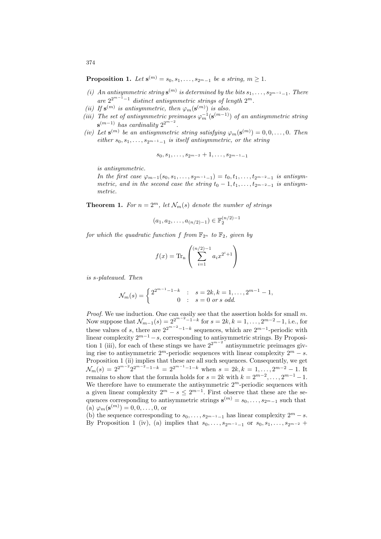**Proposition 1.** Let  $\mathbf{s}^{(m)} = s_0, s_1, \ldots, s_{2^m-1}$  be a string,  $m \ge 1$ .

- (*i*) An antisymmetric string  $\mathbf{s}^{(m)}$  is determined by the bits  $s_1, \ldots, s_{2^{m-1}-1}$ . There  $are 2^{2^{m-1}-1}$  *distinct antisymmetric strings of length*  $2^m$ .
- (*ii*) If  $\mathbf{s}^{(m)}$  is antisymmetric, then  $\varphi_m(\mathbf{s}^{(m)})$  is also.
- (*iii*) The set of antisymmetric preimages  $\varphi_m^{-1}(\mathbf{s}^{(m-1)})$  of an antisymmetric string  $\mathbf{s}^{(m-1)}$  *has cardinality*  $2^{2^{m-2}}$ *.*
- (*iv*) Let  $\mathbf{s}^{(m)}$  be an antisymmetric string satisfying  $\varphi_m(\mathbf{s}^{(m)}) = 0, 0, \ldots, 0$ . Then  $either s_0, s_1, \ldots, s_{2m-1-1}$  *is itself antisymmetric, or the string*

$$
s_0,s_1,\ldots,s_{2^{m-2}}+1,\ldots,s_{2^{m-1}-1}
$$

*is antisymmetric.*

*In the first case*  $\varphi_{m-1}(s_0, s_1, \ldots, s_{2^{m-1}-1}) = t_0, t_1, \ldots, t_{2^{m-2}-1}$  *is antisymmetric, and in the second case the string*  $t_0 - 1, t_1, \ldots, t_{2^{m-2}-1}$  *is antisymmetric.*

**Theorem 1.** For  $n = 2^m$ , let  $\mathcal{N}_m(s)$  denote the number of strings

$$
(a_1, a_2, \ldots, a_{(n/2)-1}) \in \mathbb{F}_2^{(n/2)-1}
$$

*for which the quadratic function* f *from*  $\mathbb{F}_{2^n}$  *to*  $\mathbb{F}_2$ *, given by* 

$$
f(x) = \text{Tr}_{n} \left( \sum_{i=1}^{(n/2)-1} a_i x^{2^i + 1} \right)
$$

*is* s*-plateaued. Then*

$$
\mathcal{N}_m(s) = \begin{cases} 2^{2^{m-1}-1-k} & : s = 2k, k = 1, \dots, 2^{m-1} - 1, \\ 0 & : s = 0 \text{ or } s \text{ odd.} \end{cases}
$$

*Proof.* We use induction. One can easily see that the assertion holds for small m.<br>Now suppose that  $\mathcal{N}_{m-1}(s) = 2^{2^{m-2}-1-k}$  for  $s = 2k, k = 1, ..., 2^{m-2}-1$ , i.e., for these values of s, there are  $2^{2^{m-2}-1-k}$  sequences, which are  $2^{m-1}$ -periodic with linear complexity  $2^{m-1} - s$ , corresponding to antisymmetric strings. By Proposition 1 (iii), for each of these stings we have  $2^{2^{m-2}}$  antisymmetric preimages giving rise to antisymmetric  $2^m$ -periodic sequences with linear complexity  $2^m - s$ . Proposition 1 (ii) implies that these are all such sequences. Consequently, we get  $\mathcal{N}_m(s) = 2^{2^{m-2}} 2^{2^{m-2}-1-k} = 2^{2^{m-1}-1-k}$  when  $s = 2k, k = 1, \ldots, 2^{m-2}-1$ . It remains to show that the formula holds for  $s = 2k$  with  $k = 2^{m-2}, \ldots, 2^{m-1} - 1$ . We therefore have to enumerate the antisymmetric  $2<sup>m</sup>$ -periodic sequences with a given linear complexity  $2^m - s \leq 2^{m-1}$ . First observe that these are the sequences corresponding to antisymmetric strings  $\mathbf{s}^{(m)} = s_0, \ldots, s_{2^m-1}$  such that (a)  $\varphi_m(\mathbf{s}^{(m)}) = 0, 0, \dots, 0, \text{ or}$ 

(b) the sequence corresponding to  $s_0, \ldots, s_{2^{m-1}-1}$  has linear complexity  $2^m - s$ . By Proposition 1 (iv), (a) implies that  $s_0, \ldots, s_{2^{m-1}-1}$  or  $s_0, s_1, \ldots, s_{2^{m-2}}$  +

374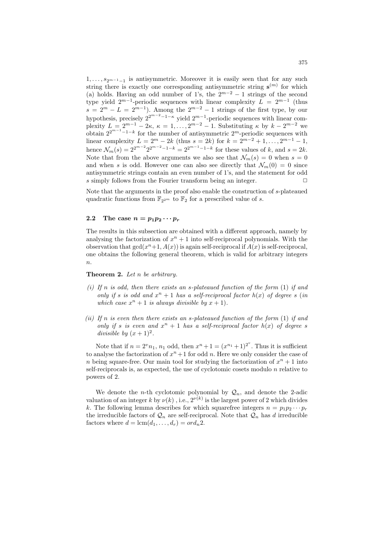$1, \ldots, s_{2^{m-1}-1}$  is antisymmetric. Moreover it is easily seen that for any such string there is exactly one corresponding antisymmetric string  $s^{(m)}$  for which (a) holds. Having an odd number of 1's, the  $2^{m-2} - 1$  strings of the second type yield  $2^{m-1}$ -periodic sequences with linear complexity  $L = 2^{m-1}$  (thus  $s = 2^m - L = 2^{m-1}$ ). Among the  $2^{m-2} - 1$  strings of the first type, by our hypothesis, precisely  $2^{2^{m-2}-1-\kappa}$  yield  $2^{m-1}$ -periodic sequences with linear complexity  $L = 2^{m-1} - 2\kappa$ ,  $\kappa = 1, \ldots, 2^{m-2} - 1$ . Substituting  $\kappa$  by  $k - 2^{m-2}$  we obtain  $2^{2^{m-1}-1-k}$  for the number of antisymmetric  $2^m$ -periodic sequences with linear complexity  $L = 2^m - 2k$  (thus  $s = 2k$ ) for  $k = 2^{m-2} + 1, ..., 2^{m-1} - 1$ , hence  $\mathcal{N}_m(s) = 2^{2^{m-2}} 2^{2^{m-2}-1-k} = 2^{2^{m-1}-1-k}$  for these values of k, and  $s = 2k$ . Note that from the above arguments we also see that  $\mathcal{N}_m(s) = 0$  when  $s = 0$ and when s is odd. However one can also see directly that  $\mathcal{N}_m(0) = 0$  since antisymmetric strings contain an even number of 1's, and the statement for odd s simply follows from the Fourier transform being an integer.  $\Box$ 

Note that the arguments in the proof also enable the construction of s-plateaued quadratic functions from  $\mathbb{F}_{2^{2^m}}$  to  $\mathbb{F}_{2}$  for a prescribed value of s.

#### 2.2 The case  $n = p_1p_2\cdots p_r$

The results in this subsection are obtained with a different approach, namely by analysing the factorization of  $x^n + 1$  into self-reciprocal polynomials. With the observation that  $gcd(x^n+1, A(x))$  is again self-reciprocal if  $A(x)$  is self-reciprocal, one obtains the following general theorem, which is valid for arbitrary integers  $\overline{n}$ .

#### Theorem 2. *Let* n *be arbitrary.*

- *(i) If* n *is odd, then there exists an* s*-plateaued function of the form* (1) *if and only if* s *is odd and*  $x^n + 1$  *has a self-reciprocal factor*  $h(x)$  *of degree* s (*in* which case  $x^n + 1$  is always divisible by  $x + 1$ ).
- *(ii) If* n *is even then there exists an* s*-plateaued function of the form* (1) *if and only if* s *is even and*  $x^n + 1$  *has a self-reciprocal factor*  $h(x)$  *of degree* s *divisible by*  $(x+1)^2$ .

Note that if  $n = 2^v n_1$ ,  $n_1$  odd, then  $x^n + 1 = (x^{n_1} + 1)^{2^v}$ . Thus it is sufficient to analyse the factorization of  $x^n + 1$  for odd n. Here we only consider the case of n being square-free. Our main tool for studying the factorization of  $x^n + 1$  into self-reciprocals is, as expected, the use of cyclotomic cosets modulo n relative to powers of 2.

We denote the *n*-th cyclotomic polynomial by  $\mathcal{Q}_n$ , and denote the 2-adic valuation of an integer k by  $\nu(k)$ , i.e.,  $2^{\nu(k)}$  is the largest power of 2 which divides k. The following lemma describes for which squarefree integers  $n = p_1 p_2 \cdots p_r$ the irreducible factors of  $\mathcal{Q}_n$  are self-reciprocal. Note that  $\mathcal{Q}_n$  has d irreducible factors where  $d = \text{lcm}(d_1, \ldots, d_r) = ord_n 2$ .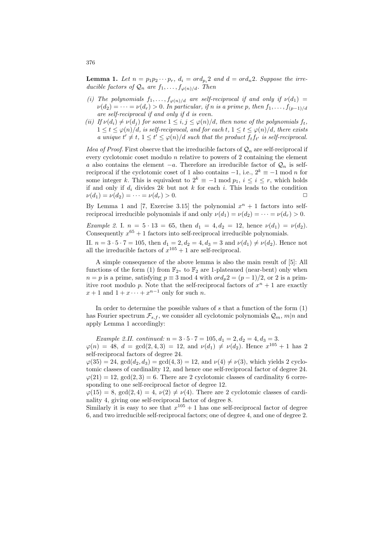**Lemma 1.** Let  $n = p_1 p_2 \cdots p_r$ ,  $d_i = \alpha r d_{p_i}$  and  $d = \alpha r d_n$ ? Suppose the irre*ducible factors of*  $\mathcal{Q}_n$  *are*  $f_1, \ldots, f_{\varphi(n)/d}$ *. Then* 

- *(i)* The polynomials  $f_1, \ldots, f_{\varphi(n)/d}$  are self-reciprocal if and only if  $\nu(d_1) =$  $\nu(d_2) = \cdots = \nu(d_r) > 0$ . In particular, if n is a prime p, then  $f_1, \ldots, f_{(p-1)/d}$ *are self-reciprocal if and only if* d *is even.*
- *(ii) If*  $\nu(d_i) \neq \nu(d_j)$  *for some*  $1 \leq i, j \leq \varphi(n)/d$ *, then none of the polynomials*  $f_t$ *,*  $1 \leq t \leq \varphi(n)/d$ *, is self-reciprocal, and for each t,*  $1 \leq t \leq \varphi(n)/d$ *, there exists a* unique  $t' \neq t$ ,  $1 \leq t' \leq \varphi(n)/d$  such that the product  $f_t f_{t'}$  is self-reciprocal.

*Idea of Proof.* First observe that the irreducible factors of  $\mathcal{Q}_n$  are self-reciprocal if every cyclotomic coset modulo  $n$  relative to powers of 2 containing the element a also contains the element  $-a$ . Therefore an irreducible factor of  $\mathcal{Q}_n$  is selfreciprocal if the cyclotomic coset of 1 also contains  $-1$ , i.e.,  $2^k \equiv -1 \mod n$  for some integer k. This is equivalent to  $2^k \equiv -1 \mod p_1$ ,  $i \leq i \leq r$ , which holds if and only if  $d_i$  divides  $2k$  but not k for each i. This leads to the condition  $\nu(d_1) = \nu(d_2) = \cdots = \nu(d_r) > 0.$ 

By Lemma 1 and [7, Exercise 3.15] the polynomial  $x^n + 1$  factors into selfreciprocal irreducible polynomials if and only  $\nu(d_1) = \nu(d_2) = \cdots = \nu(d_r) > 0$ .

*Example 2.* I.  $n = 5 \cdot 13 = 65$ , then  $d_1 = 4, d_2 = 12$ , hence  $\nu(d_1) = \nu(d_2)$ . Consequently  $x^{65} + 1$  factors into self-reciprocal irreducible polynomials.

II.  $n = 3 \cdot 5 \cdot 7 = 105$ , then  $d_1 = 2, d_2 = 4, d_3 = 3$  and  $\nu(d_1) \neq \nu(d_2)$ . Hence not all the irreducible factors of  $x^{105} + 1$  are self-reciprocal.

A simple consequence of the above lemma is also the main result of [5]: All functions of the form (1) from  $\mathbb{F}_{2^n}$  to  $\mathbb{F}_2$  are 1-plateaued (near-bent) only when  $n = p$  is a prime, satisfying  $p \equiv 3 \mod 4$  with  $\text{ord}_p 2 = (p-1)/2$ , or 2 is a primitive root modulo p. Note that the self-reciprocal factors of  $x^n + 1$  are exactly  $x+1$  and  $1+x\cdots+x^{n-1}$  only for such n.

In order to determine the possible values of  $s$  that a function of the form  $(1)$ has Fourier spectrum  $\mathcal{F}_{s,f}$ , we consider all cyclotomic polynomials  $\mathcal{Q}_m$ ,  $m|n$  and apply Lemma 1 accordingly:

*Example 2.II. continued:*  $n = 3 \cdot 5 \cdot 7 = 105, d_1 = 2, d_2 = 4, d_3 = 3.$  $\varphi(n) = 48, d = \gcd(2, 4, 3) = 12, \text{ and } \nu(d_1) \neq \nu(d_2)$ . Hence  $x^{105} + 1$  has 2 self-reciprocal factors of degree 24.

 $\varphi(35) = 24$ ,  $\gcd(d_2, d_3) = \gcd(4, 3) = 12$ , and  $\nu(4) \neq \nu(3)$ , which yields 2 cyclotomic classes of cardinality 12, and hence one self-reciprocal factor of degree 24.  $\varphi(21) = 12$ ,  $\gcd(2, 3) = 6$ . There are 2 cyclotomic classes of cardinality 6 corresponding to one self-reciprocal factor of degree 12.

 $\varphi(15) = 8$ , gcd $(2, 4) = 4$ ,  $\nu(2) \neq \nu(4)$ . There are 2 cyclotomic classes of cardinality 4, giving one self-reciprocal factor of degree 8.

Similarly it is easy to see that  $x^{105} + 1$  has one self-reciprocal factor of degree 6, and two irreducible self-reciprocal factors; one of degree 4, and one of degree 2.

376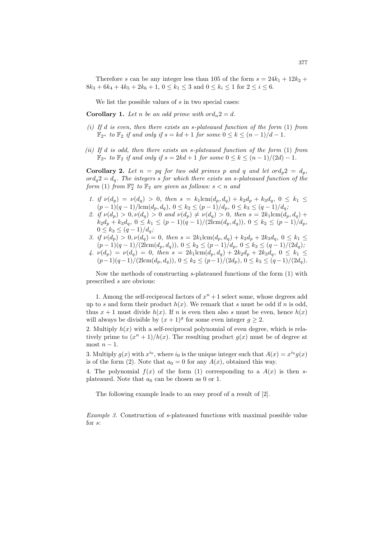Therefore s can be any integer less than 105 of the form  $s = 24k_1 + 12k_2 +$  $8k_3 + 6k_4 + 4k_5 + 2k_6 + 1$ ,  $0 \le k_1 \le 3$  and  $0 \le k_i \le 1$  for  $2 \le i \le 6$ .

We list the possible values of  $s$  in two special cases:

**Corollary 1.** Let *n* be an odd prime with  $\text{ord}_n 2 = d$ .

- *(i) If* d *is even, then there exists an* s*-plateaued function of the form* (1) *from*  $\mathbb{F}_{2^n}$  *to*  $\mathbb{F}_2$  *if and only if*  $s = kd + 1$  *for some*  $0 \leq k \leq (n-1)/d - 1$ *.*
- *(ii) If* d *is odd, then there exists an* s*-plateaued function of the form* (1) *from*  $\mathbb{F}_{2^n}$  *to*  $\mathbb{F}_2$  *if and only if*  $s = 2kd + 1$  *for some*  $0 \le k \le (n - 1)/(2d) - 1$ *.*

**Corollary 2.** Let  $n = pq$  for two odd primes p and q and let or  $d_p 2 = d_p$ ,  $\partial \rho \cdot d_q = d_q$ . The integers s for which there exists an s-plateaued function of the *form* (1) *from*  $\mathbb{F}_2^n$  *to*  $\mathbb{F}_2$  *are given as follows:*  $s < n$  *and* 

- *1. if*  $\nu(d_p) = \nu(d_q) > 0$ , then  $s = k_1 \text{lcm}(d_p, d_q) + k_2 d_p + k_3 d_q$ ,  $0 \leq k_1 \leq$  $(p-1)(q-1)/\text{lcm}(d_p, d_q), 0 \leq k_2 \leq (p-1)/d_p, 0 \leq k_3 \leq (q-1)/d_q;$
- *2. if*  $\nu(d_p) > 0, \nu(d_q) > 0$  *and*  $\nu(d_p) \neq \nu(d_q) > 0$ *, then*  $s = 2k_1 \text{lcm}(d_p, d_q) +$  $k_2d_p + k_3d_q$ ,  $0 \le k_1 \le (p-1)(q-1)/(2\text{lcm}(d_p, d_q))$ ,  $0 \le k_2 \le (p-1)/d_p$ ,  $0 \le k_3 \le (q-1)/d_q$ *;*
- *3. if*  $\nu(d_p) > 0, \nu(d_q) = 0$ *, then*  $s = 2k_1 \text{lcm}(d_p, d_q) + k_2 d_p + 2k_3 d_q$ ,  $0 \leq k_1 \leq$  $(p-1)(q-1)/(2\text{lcm}(d_p, d_q)), 0 \le k_2 \le (p-1)/d_p, 0 \le k_3 \le (q-1)/(2d_q);$
- $4. \nu(d_p) = \nu(d_q) = 0$ , then  $s = 2k_1 \text{ lcm}(d_p, d_q) + 2k_2 d_p + 2k_3 d_q$ ,  $0 \leq k_1 \leq$  $(p-1)(q-1)/(2\text{lcm}(d_p, d_q)), 0 \le k_2 \le (p-1)/(2d_p), 0 \le k_3 \le (q-1)/(2d_q).$

Now the methods of constructing s-plateaued functions of the form (1) with prescribed s are obvious:

1. Among the self-reciprocal factors of  $x^n + 1$  select some, whose degrees add up to s and form their product  $h(x)$ . We remark that s must be odd if n is odd, thus  $x + 1$  must divide  $h(x)$ . If n is even then also s must be even, hence  $h(x)$ will always be divisible by  $(x + 1)^g$  for some even integer  $g \geq 2$ .

2. Multiply  $h(x)$  with a self-reciprocal polynomial of even degree, which is relatively prime to  $(x^{n} + 1)/h(x)$ . The resulting product  $g(x)$  must be of degree at most  $n-1$ .

3. Multiply  $g(x)$  with  $x^{i_0}$ , where  $i_0$  is the unique integer such that  $A(x) = x^{i_0}g(x)$ is of the form (2). Note that  $a_0 = 0$  for any  $A(x)$ , obtained this way.

4. The polynomial  $f(x)$  of the form (1) corresponding to a  $A(x)$  is then splateaued. Note that  $a_0$  can be chosen as 0 or 1.

The following example leads to an easy proof of a result of [2].

*Example 3.* Construction of s-plateaued functions with maximal possible value for s: